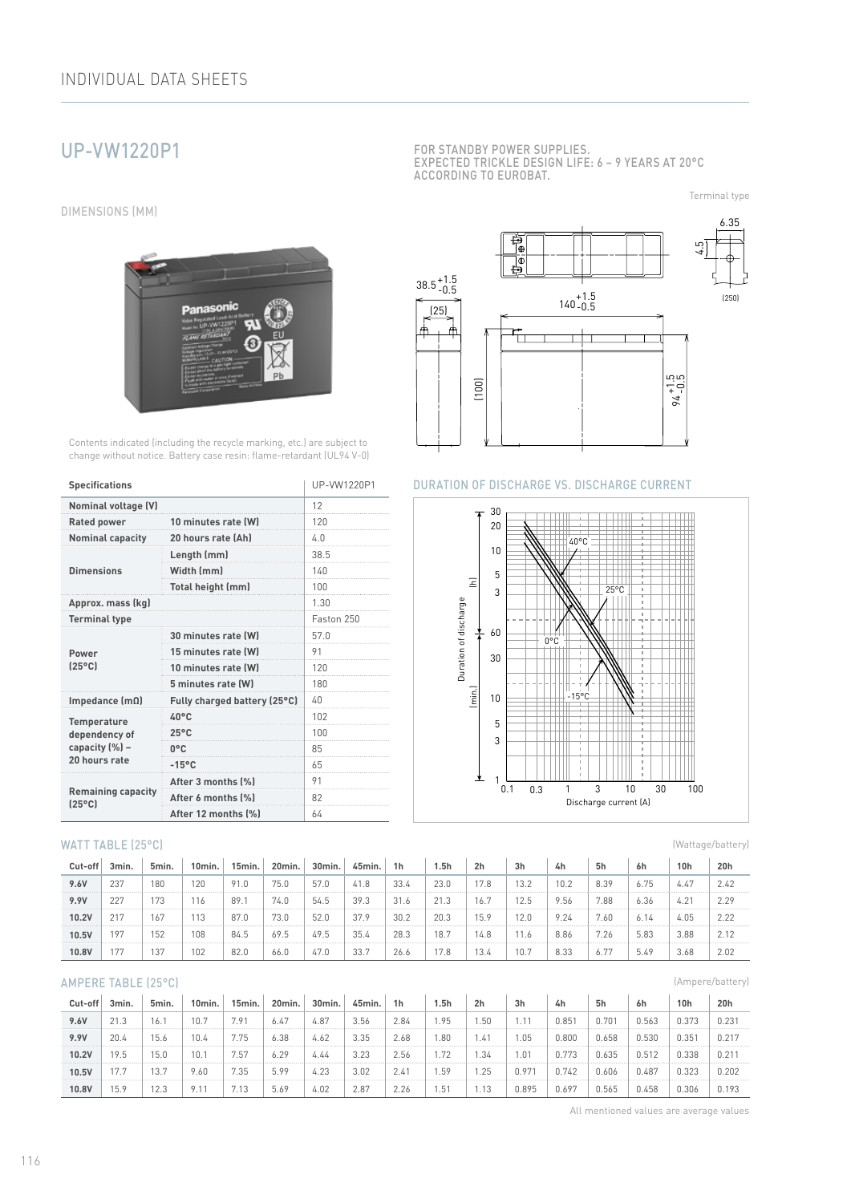# UP-VW1220P1

DIMENSIONS (MM)



Contents indicated (including the recycle marking, etc.) are subject to change without notice. Battery case resin: flame-retardant (UL94 V-0)

| <b>Specifications</b>                        | UP-VW1220P1                  |            |  |  |  |  |  |
|----------------------------------------------|------------------------------|------------|--|--|--|--|--|
| <b>Nominal voltage (V)</b>                   | 12                           |            |  |  |  |  |  |
| <b>Rated power</b>                           | 10 minutes rate (W)          | 120        |  |  |  |  |  |
| <b>Nominal capacity</b>                      | 20 hours rate (Ah)           | 4.0        |  |  |  |  |  |
|                                              | Length (mm)                  | 38.5       |  |  |  |  |  |
| <b>Dimensions</b>                            | Width (mm)                   | 140        |  |  |  |  |  |
|                                              | Total height (mm)            | 100        |  |  |  |  |  |
| Approx. mass (kg)                            |                              |            |  |  |  |  |  |
| <b>Terminal type</b>                         |                              | Faston 250 |  |  |  |  |  |
|                                              | 30 minutes rate (W)          | 57.0       |  |  |  |  |  |
| Power                                        | 15 minutes rate (W)          | 91         |  |  |  |  |  |
| $[25^{\circ}$ C                              | 10 minutes rate (W)          | 120        |  |  |  |  |  |
|                                              | 5 minutes rate (W)           | 180        |  |  |  |  |  |
| Impedance $(m\Omega)$                        | Fully charged battery (25°C) | 40         |  |  |  |  |  |
| <b>Temperature</b>                           | 40°C                         | 102        |  |  |  |  |  |
| dependency of                                | $25^{\circ}$ C               | 100        |  |  |  |  |  |
| capacity (%) -                               | $0^{\circ}$ C                | 85         |  |  |  |  |  |
| 20 hours rate                                | $-15^{\circ}$ C              | 65         |  |  |  |  |  |
|                                              | After 3 months [%]           | 91         |  |  |  |  |  |
| <b>Remaining capacity</b><br>$[25^{\circ}C]$ | After 6 months (%)           | 82         |  |  |  |  |  |
|                                              | After 12 months [%]          | 64         |  |  |  |  |  |

#### WATT TABLE (25°C)

| Cut-off | 3min. | 5min. | 10min. | 15min. | 20min. | 30min. | 45min. | 1h   | 1.5h | 2 <sub>h</sub> | 3h   | 4h   | 5h   | 6h   | 10 <sub>h</sub> | 20h  |
|---------|-------|-------|--------|--------|--------|--------|--------|------|------|----------------|------|------|------|------|-----------------|------|
| 9.6V    | 237   | 180   | 120    | 91.0   | 75.0   | 57.0   | 41.8   | 33.4 | 23.0 | 17.8           | 13.2 | 10.2 | 8.39 | 6.75 | 4.47            | 2.42 |
| 9.9V    | 227   | 173   |        | 89.    | 74.0   | 54.5   | 39.3   | 31.6 | 21.3 | 16.7           | 12.5 | 9.56 | 7.88 | 6.36 | 4.21            | 2.29 |
| 10.2V   | 217   | 167   | 113    | 87.0   | 73.0   | 52.0   | 37.9   | 30.2 | 20.3 | 15.9           | 12.0 | 9.24 | '.60 | 6.14 | 4.05            | 2.22 |
| 10.5V   | 97    | 152   | 108    | 84.5   | 69.5   | 49.5   | 35.4   | 28.3 | 18.7 | 14.8           | 11.6 | 8.86 | 7.26 | 5.83 | 3.88            |      |
| 10.8V   |       | 137   | 102    | 82.0   | 66.0   | 47.0   | 33.7   | 26.6 | 7.8  | 13.4           | 10.7 | 8.33 | 6.1  | 5.49 | 3.68            | 2.02 |

## AMPERE TABLE (25°C)

| Cut-off | 3min. | 5min. | 10min. | 15min. | 20min. | 30min. | 45min. | 1h   | 5h   | 2 <sub>h</sub> | 3 <sub>h</sub> | 4h    | 5h    | 6h    | 10 <sub>h</sub> | 20h        |
|---------|-------|-------|--------|--------|--------|--------|--------|------|------|----------------|----------------|-------|-------|-------|-----------------|------------|
| 9.6V    | 21.3  | 16.   |        | .91    | 6.47   | 4.87   | 3.56   | 2.84 | .95  | .50            |                | 0.85  | 0.701 | 0.563 | 0.373           | 0.231      |
| 9.9V    | 20.4  | 15.6  | 10.4   | 75     | 6.38   | 4.62   | 3.35   | 2.68 | .80  | 47. ،          | .05            | 0.800 | 0.658 | 0.530 | 0.35'           | $0.21^{r}$ |
| 10.2V   | 19.5  | 5.0   | 10.    | '.57   | 6.29   | 4.44   | 3.23   | 2.56 | .72  | .34            | .01            | 0.773 | 0.635 | 0.512 | 0.338           | 0.21       |
| 10.5V   | 17.7  | 13.7  | 9.60   | 7.35   | 5.99   | 4.23   | 3.02   | 2.41 | .59  | .25            | 0.971          | 0.742 | 0.606 | 1.487 | 0.323           | 0.202      |
| 10.8V   | 15.9  | 12.3  | 9.1'   | 7.13   | 5.69   | 4.02   | 2.87   | 2.26 | . 51 | 1.13           | 0.895          | 0.697 | 0.565 | J.458 | 0.306           | 0.193      |

FOR STANDBY POWER SUPPLIES. EXPECTED TRICKLE DESIGN LIFE: 6 – 9 YEARS AT 20°C ACCORDING TO EUROBAT.

Terminal type



#### DURATION OF DISCHARGE VS. DISCHARGE CURRENT



(Wattage/battery)

(Ampere/battery)

All mentioned values are average values